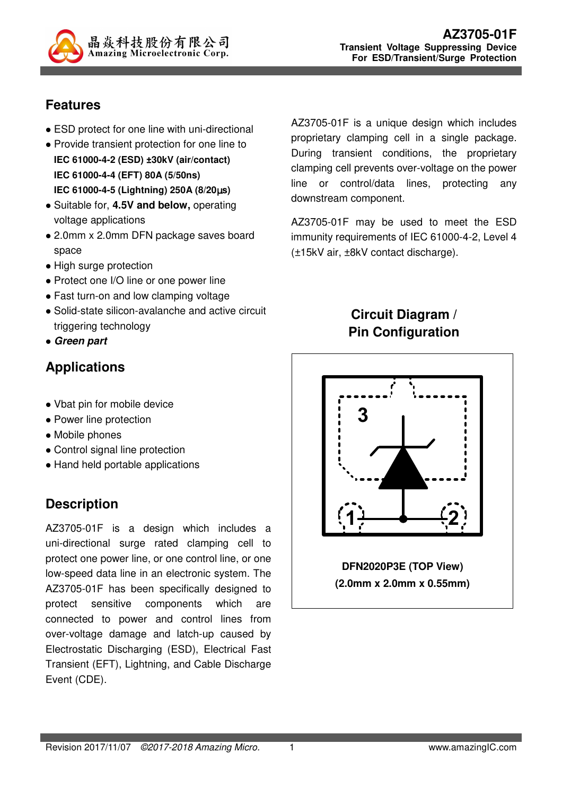

## **Features**

- ESD protect for one line with uni-directional
- Provide transient protection for one line to **IEC 61000-4-2 (ESD) ±30kV (air/contact) IEC 61000-4-4 (EFT) 80A (5/50ns) IEC 61000-4-5 (Lightning) 250A (8/20**µ**s)**
- Suitable for, **4.5V and below,** operating voltage applications
- 2.0mm x 2.0mm DFN package saves board space
- High surge protection
- Protect one I/O line or one power line
- Fast turn-on and low clamping voltage
- Solid-state silicon-avalanche and active circuit triggering technology
- **Green part**

# **Applications**

- Vbat pin for mobile device
- Power line protection
- Mobile phones
- Control signal line protection
- Hand held portable applications

# **Description**

AZ3705-01F is a design which includes a uni-directional surge rated clamping cell to protect one power line, or one control line, or one low-speed data line in an electronic system. The AZ3705-01F has been specifically designed to protect sensitive components which are connected to power and control lines from over-voltage damage and latch-up caused by Electrostatic Discharging (ESD), Electrical Fast Transient (EFT), Lightning, and Cable Discharge Event (CDE).

AZ3705-01F is a unique design which includes proprietary clamping cell in a single package. During transient conditions, the proprietary clamping cell prevents over-voltage on the power line or control/data lines, protecting any downstream component.

AZ3705-01F may be used to meet the ESD immunity requirements of IEC 61000-4-2, Level 4 (±15kV air, ±8kV contact discharge).

### **Circuit Diagram / Pin Configuration**

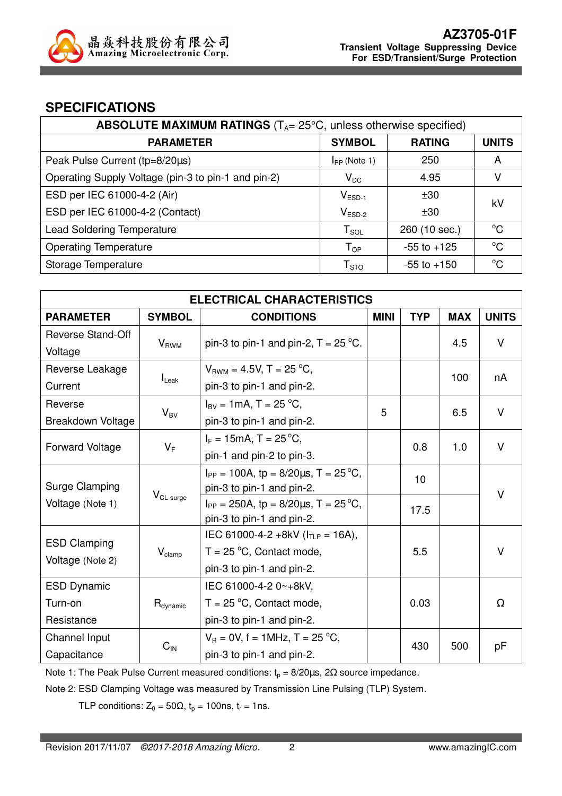

#### **SPECIFICATIONS**

| <b>ABSOLUTE MAXIMUM RATINGS</b> ( $T_A = 25^{\circ}$ C, unless otherwise specified) |                             |                 |              |  |
|-------------------------------------------------------------------------------------|-----------------------------|-----------------|--------------|--|
| <b>PARAMETER</b>                                                                    | <b>SYMBOL</b>               | <b>RATING</b>   | <b>UNITS</b> |  |
| Peak Pulse Current (tp=8/20µs)                                                      | $I_{PP}$ (Note 1)           | 250             | A            |  |
| Operating Supply Voltage (pin-3 to pin-1 and pin-2)                                 | $V_{DC}$                    | 4.95            | v            |  |
| ESD per IEC 61000-4-2 (Air)                                                         | $V_{ESD-1}$                 | ±30             | kV           |  |
| ESD per IEC 61000-4-2 (Contact)                                                     | $V_{ESD-2}$                 | ±30             |              |  |
| <b>Lead Soldering Temperature</b>                                                   | $T_{\textnormal{SOL}}$      | 260 (10 sec.)   | $^{\circ}C$  |  |
| <b>Operating Temperature</b>                                                        | ${\mathsf T}_{\textsf{OP}}$ | $-55$ to $+125$ | $^{\circ}C$  |  |
| Storage Temperature                                                                 | $\mathsf{T}_{\text{STO}}$   | $-55$ to $+150$ | $^{\circ}C$  |  |

| <b>ELECTRICAL CHARACTERISTICS</b> |                      |                                                 |             |            |            |              |
|-----------------------------------|----------------------|-------------------------------------------------|-------------|------------|------------|--------------|
| <b>PARAMETER</b>                  | <b>SYMBOL</b>        | <b>CONDITIONS</b>                               | <b>MINI</b> | <b>TYP</b> | <b>MAX</b> | <b>UNITS</b> |
| Reverse Stand-Off                 |                      |                                                 |             |            | 4.5        | V            |
| Voltage                           | $V_{RWM}$            | pin-3 to pin-1 and pin-2, $T = 25$ °C.          |             |            |            |              |
| Reverse Leakage                   |                      | $V_{BWM} = 4.5V$ , T = 25 °C,                   |             |            | 100        |              |
| Current                           | $I_{\text{Leak}}$    | pin-3 to pin-1 and pin-2.                       |             |            | nA         |              |
| Reverse                           |                      | $I_{BV} = 1 \text{mA}, T = 25 \text{ °C},$      | 5           |            | 6.5        | $\vee$       |
| Breakdown Voltage                 | $V_{BV}$             | pin-3 to pin-1 and pin-2.                       |             |            |            |              |
|                                   |                      | $I_F = 15 \text{mA}, T = 25 \degree \text{C},$  |             | 0.8        | 1.0        | $\vee$       |
| <b>Forward Voltage</b>            | $V_F$                | pin-1 and pin-2 to pin-3.                       |             |            |            |              |
|                                   |                      | $I_{PP} = 100A$ , tp = 8/20 $\mu$ s, T = 25 °C, |             | 10         |            | $\vee$       |
| Surge Clamping                    | $V_{CL-surge}$       | pin-3 to pin-1 and pin-2.                       |             |            |            |              |
| Voltage (Note 1)                  |                      | $I_{PP}$ = 250A, tp = 8/20 $\mu$ s, T = 25 °C,  |             | 17.5       |            |              |
|                                   |                      | pin-3 to pin-1 and pin-2.                       |             |            |            |              |
| <b>ESD Clamping</b>               |                      | IEC 61000-4-2 +8kV ( $I_{TLP}$ = 16A),          |             |            |            |              |
|                                   | $V_{\text{clamp}}$   | $T = 25$ °C, Contact mode,                      |             | 5.5        |            | V            |
| Voltage (Note 2)                  |                      | pin-3 to pin-1 and pin-2.                       |             |            |            |              |
| <b>ESD Dynamic</b>                |                      | IEC 61000-4-2 0~+8kV,                           |             |            |            |              |
| Turn-on                           | R <sub>dynamic</sub> | $T = 25 \degree C$ , Contact mode,              |             | 0.03       |            | $\Omega$     |
| Resistance                        |                      | pin-3 to pin-1 and pin-2.                       |             |            |            |              |
| Channel Input                     | $C_{IN}$             | $V_B = 0V$ , f = 1MHz, T = 25 °C,               |             | 430        | 500        | рF           |
| Capacitance                       |                      | pin-3 to pin-1 and pin-2.                       |             |            |            |              |

Note 1: The Peak Pulse Current measured conditions:  $t_0 = 8/20 \mu s$ , 2 $\Omega$  source impedance.

Note 2: ESD Clamping Voltage was measured by Transmission Line Pulsing (TLP) System.

TLP conditions:  $Z_0 = 50\Omega$ ,  $t_p = 100$ ns,  $t_r = 1$ ns.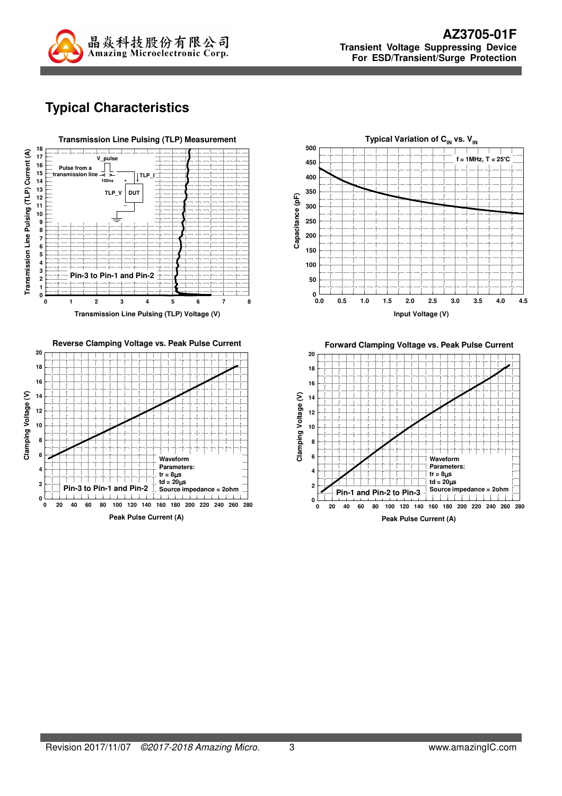

# **Typical Characteristics**





**Typical Variation of C<sub>IN</sub> vs. V<sub>IN</sub> 500 f = 1MHz, T = 25**°**C 450 400 350** Capacitance (pF) **Capacitance (pF) 300 250 200 150 100 50 0 0.0 0.5 1.0 1.5 2.0 2.5 3.0 3.5 4.0 4.5 Input Voltage (V)**

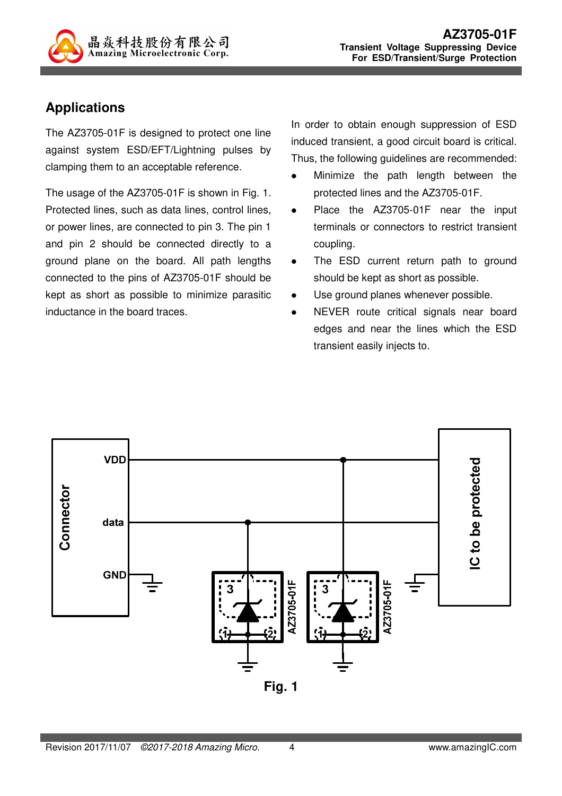

### **Applications**

The AZ3705-01F is designed to protect one line against system ESD/EFT/Lightning pulses by clamping them to an acceptable reference.

The usage of the AZ3705-01F is shown in Fig. 1. Protected lines, such as data lines, control lines, or power lines, are connected to pin 3. The pin 1 and pin 2 should be connected directly to a ground plane on the board. All path lengths connected to the pins of AZ3705-01F should be kept as short as possible to minimize parasitic inductance in the board traces.

In order to obtain enough suppression of ESD induced transient, a good circuit board is critical. Thus, the following guidelines are recommended:

- Minimize the path length between the protected lines and the AZ3705-01F.
- Place the AZ3705-01F near the input terminals or connectors to restrict transient coupling.
- The ESD current return path to ground should be kept as short as possible.
- Use ground planes whenever possible.
- NEVER route critical signals near board edges and near the lines which the ESD transient easily injects to.

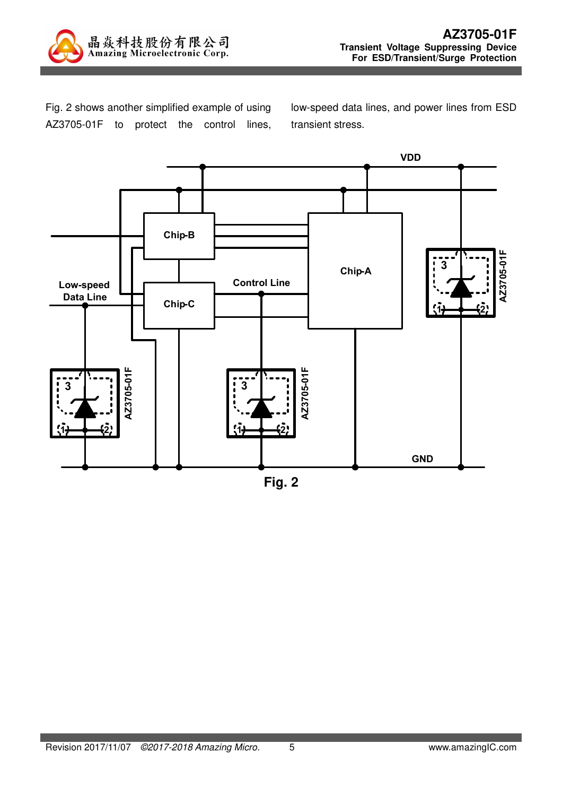

Fig. 2 shows another simplified example of using AZ3705-01F to protect the control lines, low-speed data lines, and power lines from ESD transient stress.



**Fig. 2**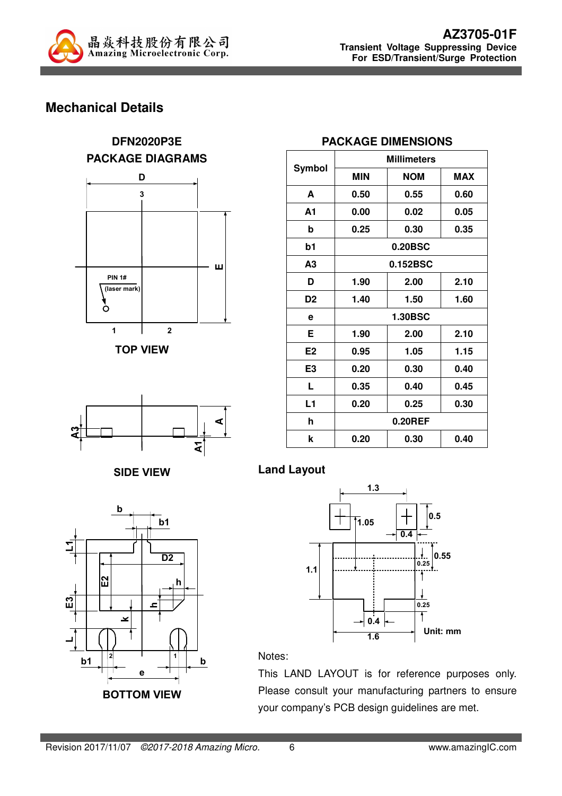

## **Mechanical Details**













# **PACKAGE DIMENSIONS**

|                | <b>Millimeters</b> |                |            |
|----------------|--------------------|----------------|------------|
| Symbol         | <b>MIN</b>         | <b>NOM</b>     | <b>MAX</b> |
| A              | 0.50               | 0.55           | 0.60       |
| A1             | 0.00               | 0.02           | 0.05       |
| b              | 0.25               | 0.30           | 0.35       |
| b1             |                    | 0.20BSC        |            |
| A <sub>3</sub> |                    | 0.152BSC       |            |
| D              | 1.90               | 2.00           | 2.10       |
| D <sub>2</sub> | 1.40               | 1.50           | 1.60       |
| е              |                    | <b>1.30BSC</b> |            |
| Е              | 1.90               | 2.00           | 2.10       |
| E <sub>2</sub> | 0.95               | 1.05           | 1.15       |
| E <sub>3</sub> | 0.20               | 0.30           | 0.40       |
| L              | 0.35               | 0.40           | 0.45       |
| L1             | 0.20               | 0.25           | 0.30       |
| h              |                    | $0.20$ REF     |            |
| k              | 0.20               | 0.30           | 0.40       |

**Land Layout** 



#### Notes:

This LAND LAYOUT is for reference purposes only. Please consult your manufacturing partners to ensure your company's PCB design guidelines are met.